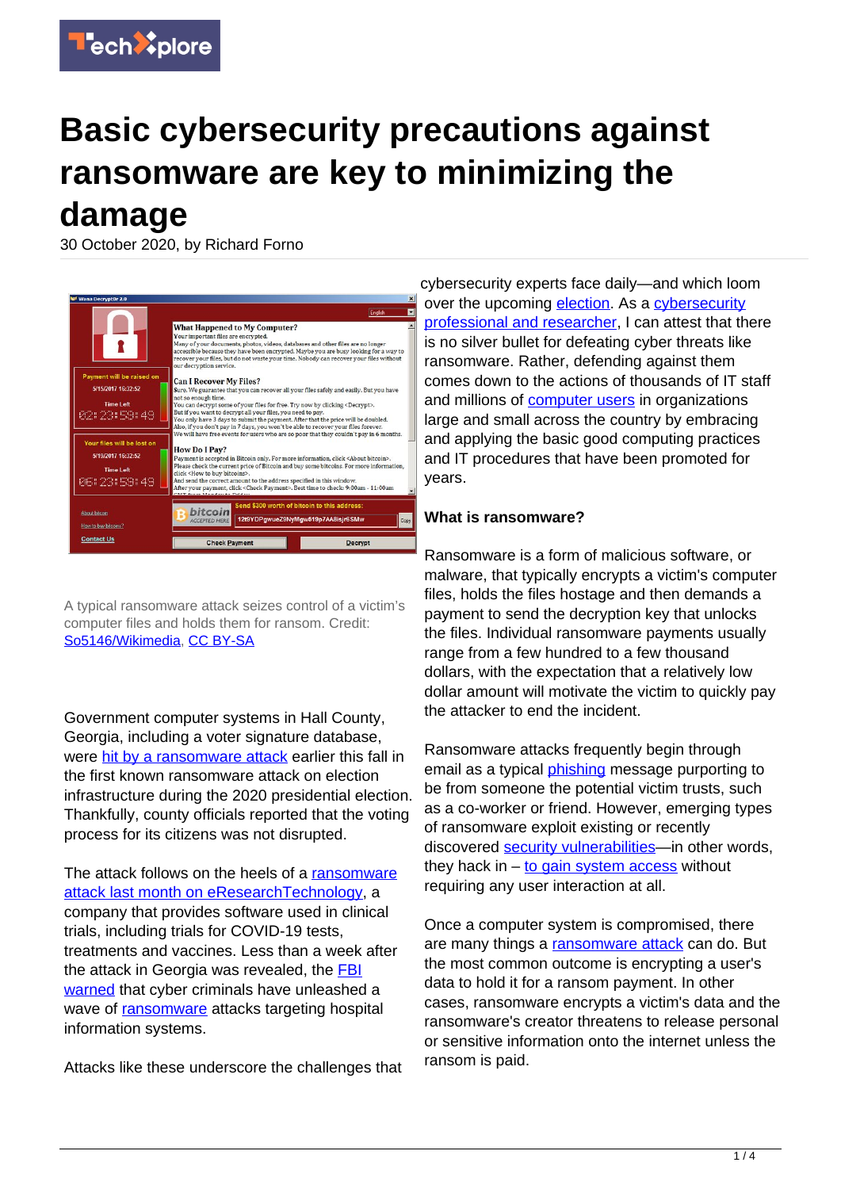

# **Basic cybersecurity precautions against ransomware are key to minimizing the damage**

30 October 2020, by Richard Forno



A typical ransomware attack seizes control of a victim's computer files and holds them for ransom. Credit: [So5146/Wikimedia,](https://commons.wikimedia.org/wiki/File:%EA%B0%90%EC%97%BC%EC%82%AC%EC%A7%84.png) [CC BY-SA](http://creativecommons.org/licenses/by-sa/4.0/)

Government computer systems in Hall County, Georgia, including a voter signature database, were [hit by a ransomware attack](https://www.cnn.com/2020/10/22/tech/ransomware-election-georgia/index.html) earlier this fall in the first known ransomware attack on election infrastructure during the 2020 presidential election. Thankfully, county officials reported that the voting process for its citizens was not disrupted.

The attack follows on the heels of a [ransomware](https://www.nytimes.com/2020/10/03/technology/clinical-trials-ransomware-attack-drugmakers.html) [attack last month on eResearchTechnology,](https://www.nytimes.com/2020/10/03/technology/clinical-trials-ransomware-attack-drugmakers.html) a company that provides software used in clinical trials, including trials for COVID-19 tests, treatments and vaccines. Less than a week after the attack in Georgia was revealed, the [FBI](https://apnews.com/article/politics-crime-elections-presidential-elections-548634f03e71a830811d291401651610) [warned](https://apnews.com/article/politics-crime-elections-presidential-elections-548634f03e71a830811d291401651610) that cyber criminals have unleashed a wave of [ransomware](https://techxplore.com/tags/ransomware/) attacks targeting hospital information systems.

Attacks like these underscore the challenges that

cybersecurity experts face daily—and which loom over the upcoming [election.](https://techxplore.com/tags/election/) As a [cybersecurity](https://cybersecurity.umbc.edu/richard-forno/) [professional and researcher,](https://cybersecurity.umbc.edu/richard-forno/) I can attest that there is no silver bullet for defeating cyber threats like ransomware. Rather, defending against them comes down to the actions of thousands of IT staff and millions of [computer users](https://techxplore.com/tags/computer+users/) in organizations large and small across the country by embracing and applying the basic good computing practices and IT procedures that have been promoted for years.

#### **What is ransomware?**

Ransomware is a form of malicious software, or malware, that typically encrypts a victim's computer files, holds the files hostage and then demands a payment to send the decryption key that unlocks the files. Individual ransomware payments usually range from a few hundred to a few thousand dollars, with the expectation that a relatively low dollar amount will motivate the victim to quickly pay the attacker to end the incident.

Ransomware attacks frequently begin through email as a typical *phishing* message purporting to be from someone the potential victim trusts, such as a co-worker or friend. However, emerging types of ransomware exploit existing or recently discovered [security vulnerabilities](https://techxplore.com/tags/security+vulnerabilities/)—in other words, they hack in  $-$  [to gain system access](https://arstechnica.com/information-technology/2020/10/dhs-warns-that-emotet-malware-is-one-of-the-most-prevalent-threats-today/) without requiring any user interaction at all.

Once a computer system is compromised, there are many things a [ransomware attack](https://techxplore.com/tags/ransomware+attack/) can do. But the most common outcome is encrypting a user's data to hold it for a ransom payment. In other cases, ransomware encrypts a victim's data and the ransomware's creator threatens to release personal or sensitive information onto the internet unless the ransom is paid.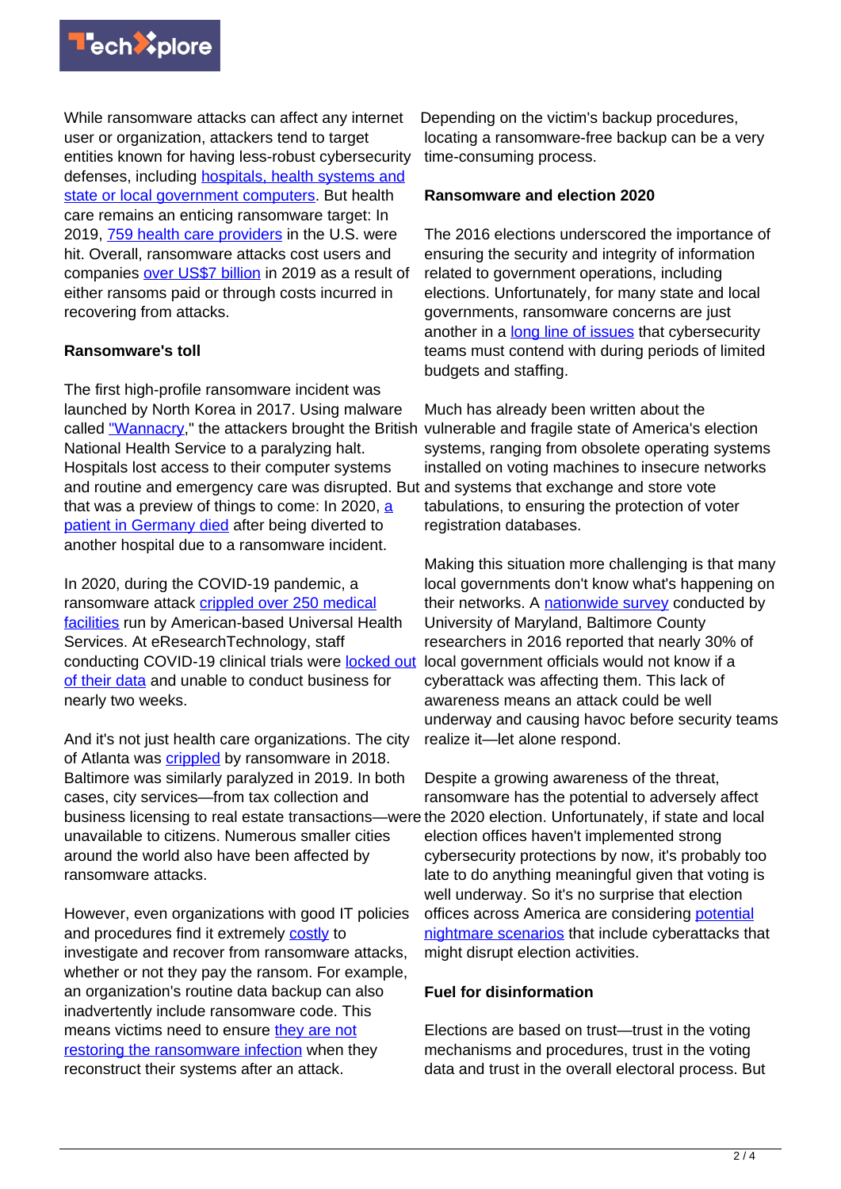

While ransomware attacks can affect any internet user or organization, attackers tend to target entities known for having less-robust cybersecurity defenses, including **hospitals**, health systems and [state or local government computers](https://enterprise.verizon.com/resources/reports/dbir/). But health care remains an enticing ransomware target: In 2019, [759 health care providers](https://healthitsecurity.com/news/ransomware-attacks-on-healthcare-providers-rose-350-in-q4-2019) in the U.S. were hit. Overall, ransomware attacks cost users and companies [over US\\$7 billion](https://www.technologyreview.com/2020/01/02/131035/ransomware-may-have-cost-the-us-more-than-75-billion-in-2019/) in 2019 as a result of either ransoms paid or through costs incurred in recovering from attacks.

## **Ransomware's toll**

The first high-profile ransomware incident was launched by North Korea in 2017. Using malware called ["Wannacry,](https://www.csoonline.com/article/3227906/what-is-wannacry-ransomware-how-does-it-infect-and-who-was-responsible.html)" the attackers brought the British National Health Service to a paralyzing halt. Hospitals lost access to their computer systems and routine and emergency care was disrupted. But and systems that exchange and store vote that was a preview of things to come: In 2020, [a](https://www.nytimes.com/2020/09/18/world/europe/cyber-attack-germany-ransomeware-death.html) [patient in Germany died](https://www.nytimes.com/2020/09/18/world/europe/cyber-attack-germany-ransomeware-death.html) after being diverted to another hospital due to a ransomware incident.

In 2020, during the COVID-19 pandemic, a ransomware attack [crippled over 250 medical](https://www.wired.com/story/universal-health-services-ransomware-attack/) [facilities](https://www.wired.com/story/universal-health-services-ransomware-attack/) run by American-based Universal Health Services. At eResearchTechnology, staff conducting COVID-19 clinical trials were [locked out](https://www.nytimes.com/2020/10/03/technology/clinical-trials-ransomware-attack-drugmakers.html) [of their data](https://www.nytimes.com/2020/10/03/technology/clinical-trials-ransomware-attack-drugmakers.html) and unable to conduct business for nearly two weeks.

And it's not just health care organizations. The city of Atlanta was [crippled](https://www.wired.com/story/atlanta-spent-26m-recover-from-ransomware-scare/) by ransomware in 2018. Baltimore was similarly paralyzed in 2019. In both cases, city services—from tax collection and business licensing to real estate transactions—were the 2020 election. Unfortunately, if state and local unavailable to citizens. Numerous smaller cities around the world also have been affected by ransomware attacks.

However, even organizations with good IT policies and procedures find it extremely [costly](https://www.baltimoresun.com/politics/bs-md-ci-ransomware-expenses-20190828-njgznd7dsfaxbbaglnvnbkgjhe-story.html) to investigate and recover from ransomware attacks, whether or not they pay the ransom. For example, an organization's routine data backup can also inadvertently include ransomware code. This means victims need to ensure [they are not](https://www.infosecurity-magazine.com/opinions/keeping-backups-ransomware/) [restoring the ransomware infection](https://www.infosecurity-magazine.com/opinions/keeping-backups-ransomware/) when they reconstruct their systems after an attack.

Depending on the victim's backup procedures, locating a ransomware-free backup can be a very time-consuming process.

### **Ransomware and election 2020**

The 2016 elections underscored the importance of ensuring the security and integrity of information related to government operations, including elections. Unfortunately, for many state and local governments, ransomware concerns are just another in a [long line of issues](https://cybersecurity.umbc.edu/cybersecurity-for-local-governments/) that cybersecurity teams must contend with during periods of limited budgets and staffing.

Much has already been written about the vulnerable and fragile state of America's election systems, ranging from obsolete operating systems installed on voting machines to insecure networks tabulations, to ensuring the protection of voter registration databases.

Making this situation more challenging is that many local governments don't know what's happening on their networks. A [nationwide survey](https://doi.org/10.1111/puar.13028) conducted by University of Maryland, Baltimore County researchers in 2016 reported that nearly 30% of local government officials would not know if a cyberattack was affecting them. This lack of awareness means an attack could be well underway and causing havoc before security teams realize it—let alone respond.

Despite a growing awareness of the threat, ransomware has the potential to adversely affect election offices haven't implemented strong cybersecurity protections by now, it's probably too late to do anything meaningful given that voting is well underway. So it's no surprise that election offices across America are considering [potential](https://slate.com/news-and-politics/2020/08/election-nightmares-experts.html) [nightmare scenarios](https://slate.com/news-and-politics/2020/08/election-nightmares-experts.html) that include cyberattacks that might disrupt election activities.

### **Fuel for disinformation**

Elections are based on trust—trust in the voting mechanisms and procedures, trust in the voting data and trust in the overall electoral process. But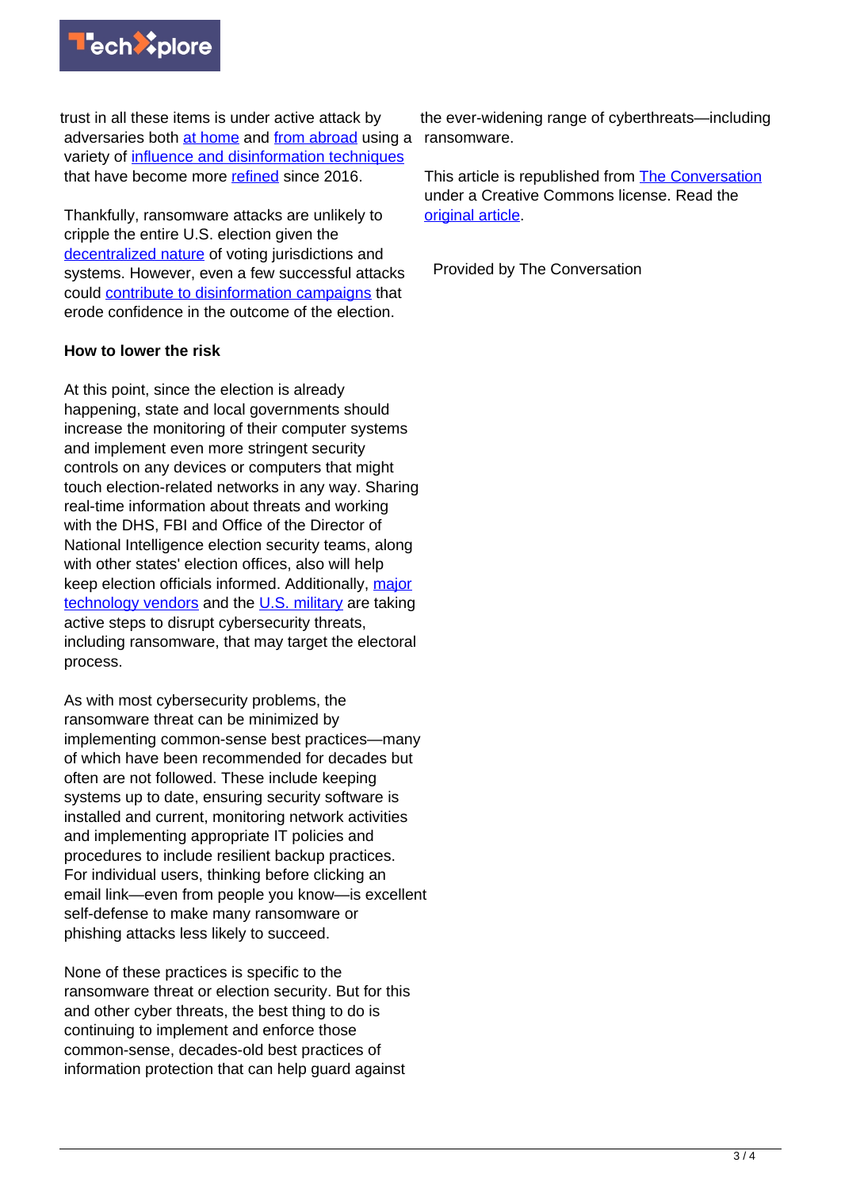

trust in all these items is under active attack by adversaries both [at home](https://www.npr.org/2020/09/28/917757932/trumps-baseless-attacks-on-election-integrity-bolstered-by-disinformation-online) and [from abroad](https://www.washingtonpost.com/national-security/us-defends-russian-election-interference/2020/10/21/533b508a-130a-11eb-bc10-40b25382f1be_story.html) using a variety of [influence and disinformation techniques](https://www.sciencemag.org/news/2020/10/us-election-nears-researchers-are-following-trail-fake-news) that have become more [refined](https://www.insidehook.com/article/politics/how-election-hacks-work-according-cybersecurity-expert) since 2016.

Thankfully, ransomware attacks are unlikely to cripple the entire U.S. election given the [decentralized nature](https://abcnews.go.com/Politics/election-cybersecurity-decentralized-system-viewed-blessing-curse/story?id=58877082) of voting jurisdictions and systems. However, even a few successful attacks could [contribute to disinformation campaigns](https://www.technologyreview.com/2020/10/15/1010551/election-ransomware-disinformation/) that erode confidence in the outcome of the election.

### **How to lower the risk**

At this point, since the election is already happening, state and local governments should increase the monitoring of their computer systems and implement even more stringent security controls on any devices or computers that might touch election-related networks in any way. Sharing real-time information about threats and working with the DHS, FBI and Office of the Director of National Intelligence election security teams, along with other states' election offices, also will help keep election officials informed. Additionally, [major](https://www.washingtonpost.com/technology/2020/10/12/microsoft-trickbot-ransomware/) [technology vendors](https://www.washingtonpost.com/technology/2020/10/12/microsoft-trickbot-ransomware/) and the [U.S. military](https://www.washingtonpost.com/national-security/cyber-command-trickbot-disrupt/2020/10/09/19587aae-0a32-11eb-a166-dc429b380d10_story.html) are taking active steps to disrupt cybersecurity threats, including ransomware, that may target the electoral process.

As with most cybersecurity problems, the ransomware threat can be minimized by implementing common-sense best practices—many of which have been recommended for decades but often are not followed. These include keeping systems up to date, ensuring security software is installed and current, monitoring network activities and implementing appropriate IT policies and procedures to include resilient backup practices. For individual users, thinking before clicking an email link—even from people you know—is excellent self-defense to make many ransomware or phishing attacks less likely to succeed.

None of these practices is specific to the ransomware threat or election security. But for this and other cyber threats, the best thing to do is continuing to implement and enforce those common-sense, decades-old best practices of information protection that can help guard against

the ever-widening range of cyberthreats—including ransomware.

This article is republished from [The Conversation](https://theconversation.com) under a Creative Commons license. Read the [original article](https://theconversation.com/ransomware-can-interfere-with-elections-and-fuel-disinformation-basic-cybersecurity-precautions-are-key-to-minimizing-the-damage-147531).

Provided by The Conversation